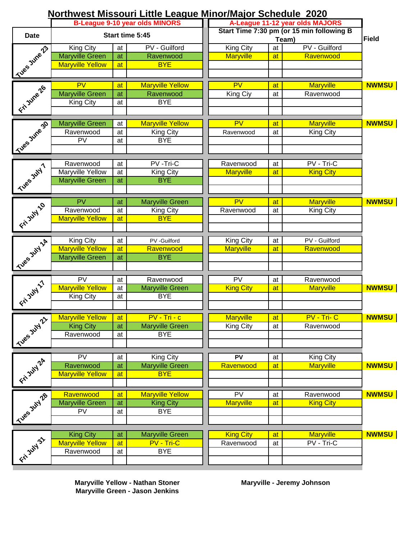| Northwest Missouri Little League Minor/Major Schedule 2020 |  |
|------------------------------------------------------------|--|
|------------------------------------------------------------|--|

|                       | <b>B-League 9-10 year olds MINORS</b> |                 |                                     | A-League 11-12 year olds MAJORS                    |    |                  |              |
|-----------------------|---------------------------------------|-----------------|-------------------------------------|----------------------------------------------------|----|------------------|--------------|
| <b>Date</b>           | Start time 5:45                       |                 |                                     | Start Time 7:30 pm (or 15 min following B<br>Team) |    |                  | Field        |
|                       | King City                             | at              | PV - Guilford                       | King City                                          | at | PV - Guilford    |              |
|                       | <b>Maryville Green</b>                | at              | Ravenwood                           | <b>Maryville</b>                                   | at | Ravenwood        |              |
|                       | <b>Maryville Yellow</b>               | at              | <b>BYE</b>                          |                                                    |    |                  |              |
| Kives June 23         |                                       |                 |                                     |                                                    |    |                  |              |
| Eri Jure 26           | PV                                    | at              | <b>Maryville Yellow</b>             | PV                                                 | at | <b>Maryville</b> | <b>NWMSU</b> |
|                       | <b>Maryville Green</b>                | at              | Ravenwood                           | King Ciy                                           | at | Ravenwood        |              |
|                       | <b>King City</b>                      | at              | <b>BYE</b>                          |                                                    |    |                  |              |
|                       |                                       |                 |                                     |                                                    |    |                  |              |
| Sues June 30          | <b>Maryville Green</b>                | at              | <b>Maryville Yellow</b>             | $\overline{\mathsf{PV}}$                           | at | <b>Maryville</b> | <b>NWMSU</b> |
|                       | Ravenwood                             | at              | King City                           | Ravenwood                                          | at | King City        |              |
|                       | PV                                    | at              | <b>BYE</b>                          |                                                    |    |                  |              |
|                       |                                       |                 |                                     |                                                    |    |                  |              |
|                       | Ravenwood                             | at              | PV-Tri-C                            | Ravenwood                                          | at | PV - Tri-C       |              |
|                       | <b>Maryville Yellow</b>               | at              | <b>King City</b>                    | <b>Maryville</b>                                   | at | <b>King City</b> |              |
|                       | <b>Maryville Green</b>                | at              | <b>BYE</b>                          |                                                    |    |                  |              |
| <b>1 This State 1</b> |                                       |                 |                                     |                                                    |    |                  |              |
|                       | PV                                    |                 |                                     | $\overline{\mathsf{PV}}$                           | at | <b>Maryville</b> | <b>NWMSU</b> |
|                       | Ravenwood                             | at<br>at        | <b>Maryville Green</b><br>King City | Ravenwood                                          |    |                  |              |
|                       | <b>Maryville Yellow</b>               |                 | <b>BYE</b>                          |                                                    | at | King City        |              |
| Find No               |                                       | at              |                                     |                                                    |    |                  |              |
|                       |                                       |                 |                                     |                                                    |    |                  |              |
|                       | <b>King City</b>                      | at              | PV -Guilford                        | King City                                          | at | PV - Guilford    |              |
|                       | <b>Maryville Yellow</b>               | at              | Ravenwood                           | <b>Maryville</b>                                   | at | Ravenwood        |              |
|                       | <b>Maryville Green</b>                | at              | <b>BYE</b>                          |                                                    |    |                  |              |
| Sues July 14 1        |                                       |                 |                                     |                                                    |    |                  |              |
|                       | $\overline{PV}$                       | at              | Ravenwood                           | $\overline{\text{PV}}$                             | at | Ravenwood        |              |
|                       | <b>Maryville Yellow</b>               | at              | <b>Maryville Green</b>              | <b>King City</b>                                   | at | <b>Maryville</b> | <b>NWMSU</b> |
|                       | <b>King City</b>                      | at              | <b>BYE</b>                          |                                                    |    |                  |              |
| Y Find Indian         |                                       |                 |                                     |                                                    |    |                  |              |
|                       | <b>Maryville Yellow</b>               | at              | $PV - Tri - c$                      | Maryville                                          | at | PV - Tri- C      | <b>NWMSU</b> |
| $\hat{\mathcal{V}}$   | <b>King City</b>                      | $\overline{at}$ | <b>Maryville Green</b>              | King City                                          | at | Ravenwood        |              |
|                       | Ravenwood                             | at              | <b>BYE</b>                          |                                                    |    |                  |              |
| Tues July             |                                       |                 |                                     |                                                    |    |                  |              |
|                       |                                       |                 |                                     |                                                    |    |                  |              |
| Fin July 24           | $\overline{\mathsf{PV}}$              | at              | <b>King City</b>                    | PV                                                 | at | King City        |              |
|                       | Ravenwood                             | at              | <b>Maryville Green</b>              | Ravenwood                                          | at | <b>Maryville</b> | <b>NWMSU</b> |
|                       | <b>Maryville Yellow</b>               | at              | <b>BYE</b>                          |                                                    |    |                  |              |
|                       |                                       |                 |                                     |                                                    |    |                  |              |
|                       | Ravenwood                             | at              | <b>Maryville Yellow</b>             | PV                                                 | at | Ravenwood        | <b>NWMSU</b> |
|                       | <b>Maryville Green</b>                | at              | <b>King City</b>                    | <b>Maryville</b>                                   | at | <b>King City</b> |              |
|                       | PV                                    | at              | <b>BYE</b>                          |                                                    |    |                  |              |
| I Tues July 28        |                                       |                 |                                     |                                                    |    |                  |              |
|                       | <b>King City</b>                      | at              | <b>Maryville Green</b>              | <b>King City</b>                                   | at | <b>Maryville</b> | <b>NWMSU</b> |
|                       | <b>Maryville Yellow</b>               | at              | PV - Tri-C                          | Ravenwood                                          | at | PV - Tri-C       |              |
| Fin July 31           | Ravenwood                             | at              | <b>BYE</b>                          |                                                    |    |                  |              |
|                       |                                       |                 |                                     |                                                    |    |                  |              |
|                       |                                       |                 |                                     |                                                    |    |                  |              |

**Maryville Green - Jason Jenkins Maryville Yellow - Nathan Stoner** **Maryville - Jeremy Johnson**